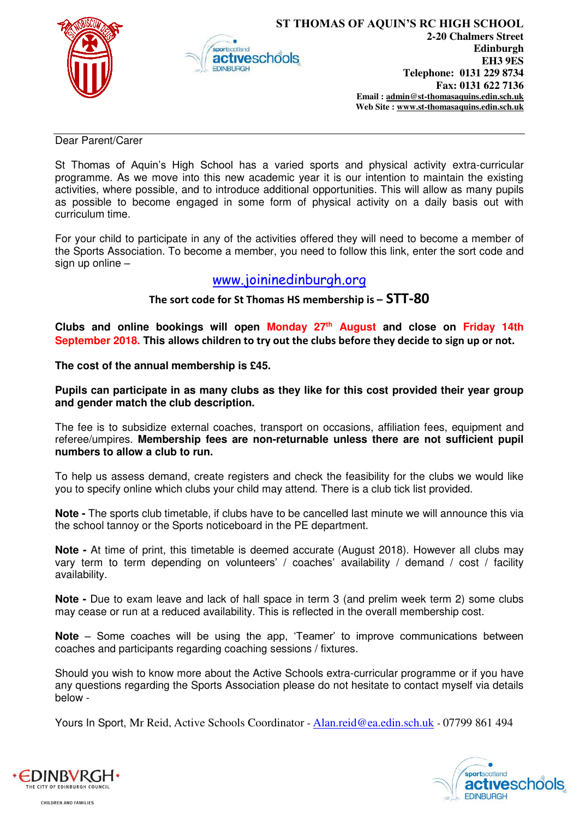



Dear Parent/Carer

St Thomas of Aquin's High School has a varied sports and physical activity extra-curricular programme. As we move into this new academic year it is our intention to maintain the existing activities, where possible, and to introduce additional opportunities. This will allow as many pupils as possible to become engaged in some form of physical activity on a daily basis out with curriculum time.

For your child to participate in any of the activities offered they will need to become a member of the Sports Association. To become a member, you need to follow this link, enter the sort code and sign up online –

## [www.joininedinburgh.org](http://www.joininedinburgh.org/)

**The sort code for St Thomas HS membership is – STT-80**

**Clubs and online bookings will open Monday 27th August and close on Friday 14th September 2018. This allows children to try out the clubs before they decide to sign up or not.** 

**The cost of the annual membership is £45.**

**Pupils can participate in as many clubs as they like for this cost provided their year group and gender match the club description.** 

The fee is to subsidize external coaches, transport on occasions, affiliation fees, equipment and referee/umpires. **Membership fees are non-returnable unless there are not sufficient pupil numbers to allow a club to run.**

To help us assess demand, create registers and check the feasibility for the clubs we would like you to specify online which clubs your child may attend. There is a club tick list provided.

**Note -** The sports club timetable, if clubs have to be cancelled last minute we will announce this via the school tannoy or the Sports noticeboard in the PE department.

**Note -** At time of print, this timetable is deemed accurate (August 2018). However all clubs may vary term to term depending on volunteers' / coaches' availability / demand / cost / facility availability.

**Note -** Due to exam leave and lack of hall space in term 3 (and prelim week term 2) some clubs may cease or run at a reduced availability. This is reflected in the overall membership cost.

**Note** – Some coaches will be using the app, 'Teamer' to improve communications between coaches and participants regarding coaching sessions / fixtures.

Should you wish to know more about the Active Schools extra-curricular programme or if you have any questions regarding the Sports Association please do not hesitate to contact myself via details below -

Yours In Sport, Mr Reid, Active Schools Coordinator - [Alan.reid@ea.edin.sch.uk](mailto:Alan.reid@ea.edin.sch.uk) - 07799 861 494